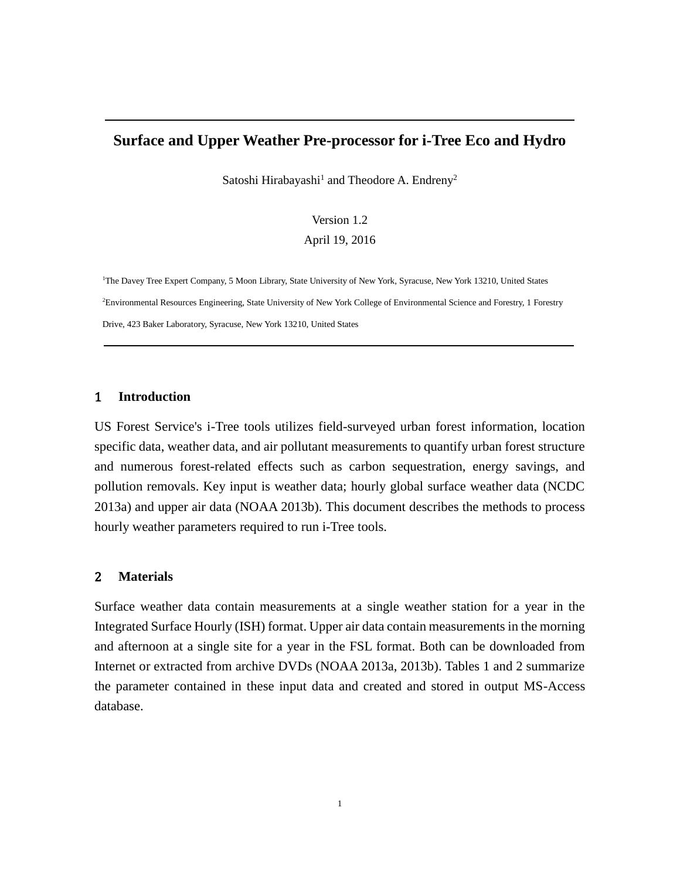# **Surface and Upper Weather Pre-processor for i-Tree Eco and Hydro**

Satoshi Hirabayashi<sup>1</sup> and Theodore A. Endreny<sup>2</sup>

#### Version 1.2

#### April 19, 2016

<sup>1</sup>The Davey Tree Expert Company, 5 Moon Library, State University of New York, Syracuse, New York 13210, United States <sup>2</sup>Environmental Resources Engineering, State University of New York College of Environmental Science and Forestry, 1 Forestry Drive, 423 Baker Laboratory, Syracuse, New York 13210, United States

#### 1 **Introduction**

US Forest Service's i-Tree tools utilizes field-surveyed urban forest information, location specific data, weather data, and air pollutant measurements to quantify urban forest structure and numerous forest-related effects such as carbon sequestration, energy savings, and pollution removals. Key input is weather data; hourly global surface weather data (NCDC 2013a) and upper air data (NOAA 2013b). This document describes the methods to process hourly weather parameters required to run i-Tree tools.

### 2 **Materials**

Surface weather data contain measurements at a single weather station for a year in the Integrated Surface Hourly (ISH) format. Upper air data contain measurements in the morning and afternoon at a single site for a year in the FSL format. Both can be downloaded from Internet or extracted from archive DVDs (NOAA 2013a, 2013b). Tables 1 and 2 summarize the parameter contained in these input data and created and stored in output MS-Access database.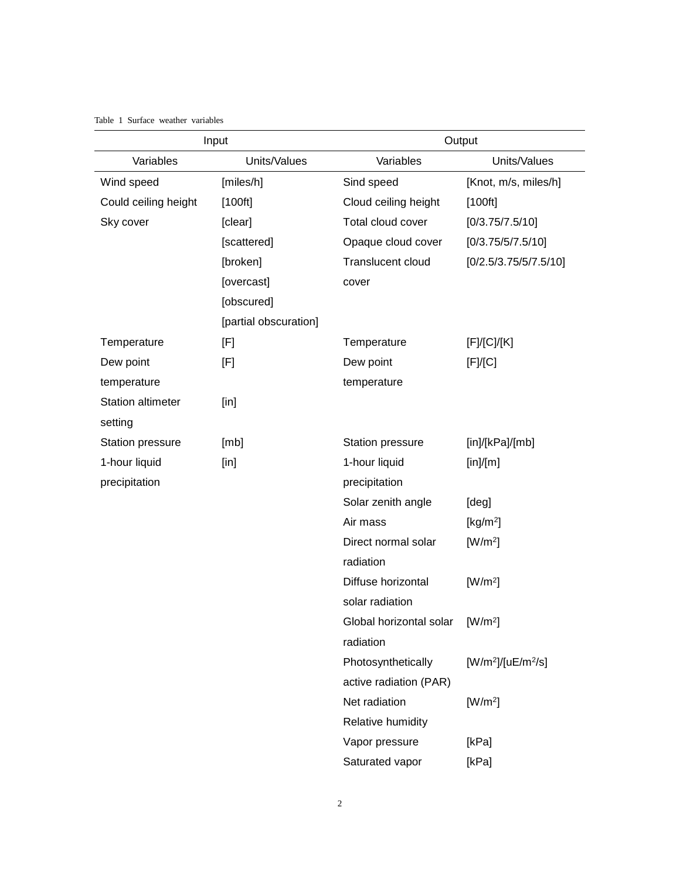#### Table 1 Surface weather variables

| Input                    |                       | Output                          |                       |  |
|--------------------------|-----------------------|---------------------------------|-----------------------|--|
| Variables                | Units/Values          | Variables                       | Units/Values          |  |
| Wind speed               | [miles/h]             | Sind speed                      | [Knot, m/s, miles/h]  |  |
| Could ceiling height     | [100ft]               | Cloud ceiling height<br>[100ft] |                       |  |
| Sky cover                | [clear]               | Total cloud cover               | [0/3.75/7.5/10]       |  |
|                          | [scattered]           | Opaque cloud cover              | [0/3.75/5/7.5/10]     |  |
|                          | [broken]              | Translucent cloud               | [0/2.5/3.75/5/7.5/10] |  |
|                          | [overcast]            | cover                           |                       |  |
|                          | [obscured]            |                                 |                       |  |
|                          | [partial obscuration] |                                 |                       |  |
| Temperature              | [F]                   | Temperature                     | [F]/[C]/[K]           |  |
| Dew point                | [F]                   | Dew point                       | [F]/[C]               |  |
| temperature              |                       | temperature                     |                       |  |
| <b>Station altimeter</b> | $[$ in]               |                                 |                       |  |
| setting                  |                       |                                 |                       |  |
| Station pressure         | [mb]                  | Station pressure                | [in]/[kPa]/[mb]       |  |
| 1-hour liquid            | $[$ in]               | 1-hour liquid                   | [in]/[m]              |  |
| precipitation            |                       | precipitation                   |                       |  |
|                          |                       | Solar zenith angle              | [deg]                 |  |
|                          |                       | Air mass                        | [ $kg/m2$ ]           |  |
|                          |                       | Direct normal solar             | $[W/m^2]$             |  |
|                          |                       | radiation                       |                       |  |
|                          |                       | Diffuse horizontal              | $[W/m^2]$             |  |
|                          |                       | solar radiation                 |                       |  |
|                          |                       | Global horizontal solar         | $[W/m^2]$             |  |
|                          |                       | radiation                       |                       |  |
|                          |                       | Photosynthetically              | $[W/m^2]/[uE/m^2/s]$  |  |
|                          |                       | active radiation (PAR)          |                       |  |
|                          |                       | Net radiation                   | $[W/m^2]$             |  |
|                          |                       | Relative humidity               |                       |  |
|                          |                       | Vapor pressure                  | [kPa]                 |  |
|                          |                       | Saturated vapor                 | [kPa]                 |  |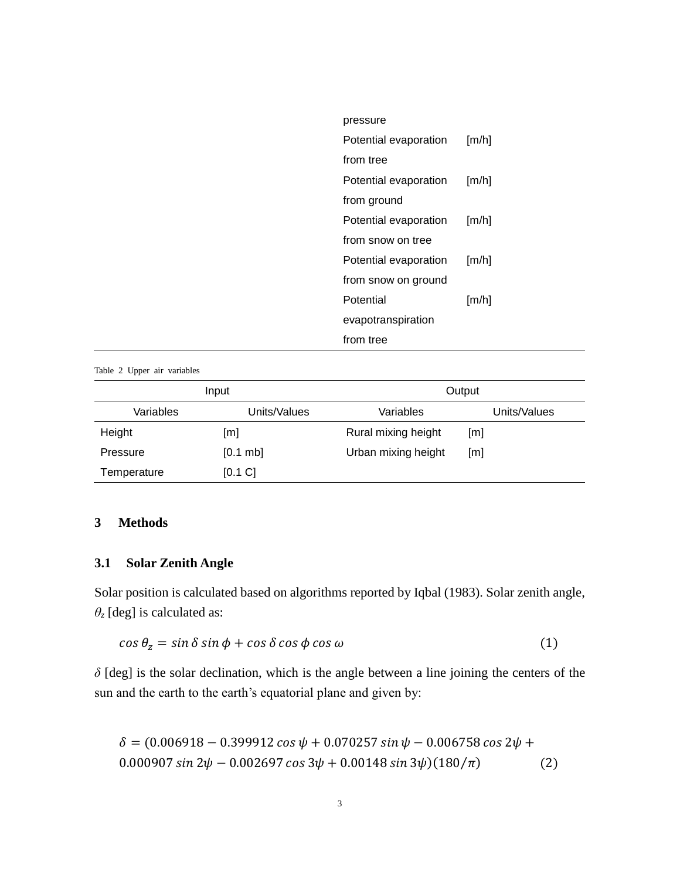| pressure              |                     |
|-----------------------|---------------------|
| Potential evaporation | $\lceil m/h \rceil$ |
| from tree             |                     |
| Potential evaporation | $\lceil m/h \rceil$ |
| from ground           |                     |
| Potential evaporation | [m/h]               |
| from snow on tree     |                     |
| Potential evaporation | $\lceil m/h \rceil$ |
| from snow on ground   |                     |
| Potential             | $\lceil m/h \rceil$ |
| evapotranspiration    |                     |
| from tree             |                     |

Table 2 Upper air variables

| Input       |              | Output              |                   |  |
|-------------|--------------|---------------------|-------------------|--|
| Variables   | Units/Values | Variables           | Units/Values      |  |
| Height      | [m]          | Rural mixing height | [m]               |  |
| Pressure    | [0.1 mb]     | Urban mixing height | $\lceil m \rceil$ |  |
| Temperature | [0.1 C]      |                     |                   |  |

# **3 Methods**

# **3.1 Solar Zenith Angle**

Solar position is calculated based on algorithms reported by Iqbal (1983). Solar zenith angle,  $\theta$ <sup>*z*</sup> [deg] is calculated as:

$$
\cos \theta_z = \sin \delta \sin \phi + \cos \delta \cos \phi \cos \omega \tag{1}
$$

*δ* [deg] is the solar declination, which is the angle between a line joining the centers of the sun and the earth to the earth's equatorial plane and given by:

$$
\delta = (0.006918 - 0.399912 \cos \psi + 0.070257 \sin \psi - 0.006758 \cos 2\psi + 0.000907 \sin 2\psi - 0.002697 \cos 3\psi + 0.00148 \sin 3\psi)(180/\pi)
$$
 (2)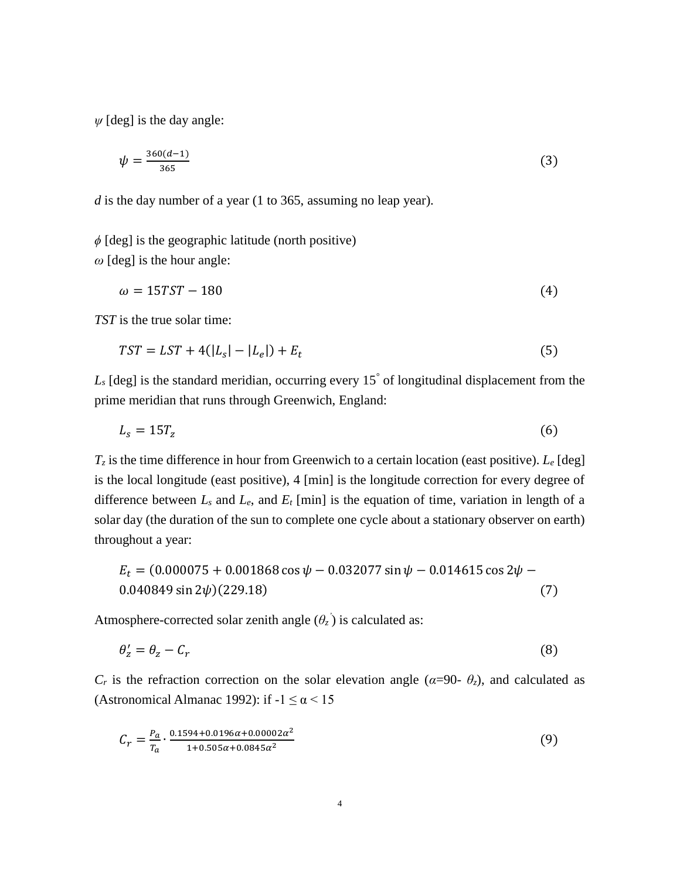$\psi$  [deg] is the day angle:

$$
\psi = \frac{360(d-1)}{365} \tag{3}
$$

*d* is the day number of a year (1 to 365, assuming no leap year).

*ϕ* [deg] is the geographic latitude (north positive) *ω* [deg] is the hour angle:

$$
\omega = 15TST - 180\tag{4}
$$

*TST* is the true solar time:

$$
TST = LST + 4(|L_s| - |L_e|) + E_t
$$
\n(5)

L<sub>*s*</sub> [deg] is the standard meridian, occurring every 15<sup>°</sup> of longitudinal displacement from the prime meridian that runs through Greenwich, England:

$$
L_s = 15T_z \tag{6}
$$

 $T_z$  is the time difference in hour from Greenwich to a certain location (east positive).  $L_e$  [deg] is the local longitude (east positive), 4 [min] is the longitude correction for every degree of difference between  $L_s$  and  $L_e$ , and  $E_t$  [min] is the equation of time, variation in length of a solar day (the duration of the sun to complete one cycle about a stationary observer on earth) throughout a year:

$$
E_t = (0.000075 + 0.001868 \cos \psi - 0.032077 \sin \psi - 0.014615 \cos 2\psi - 0.040849 \sin 2\psi)(229.18)
$$
\n(7)

Atmosphere-corrected solar zenith angle  $(\theta_z)$  is calculated as:

$$
\theta_z' = \theta_z - C_r \tag{8}
$$

*C<sub>r</sub>* is the refraction correction on the solar elevation angle ( $\alpha$ =90-  $\theta$ <sup>z</sup>), and calculated as (Astronomical Almanac 1992): if  $-1 \le \alpha < 15$ 

$$
C_r = \frac{P_a}{T_a} \cdot \frac{0.1594 + 0.0196\alpha + 0.00002\alpha^2}{1 + 0.505\alpha + 0.0845\alpha^2} \tag{9}
$$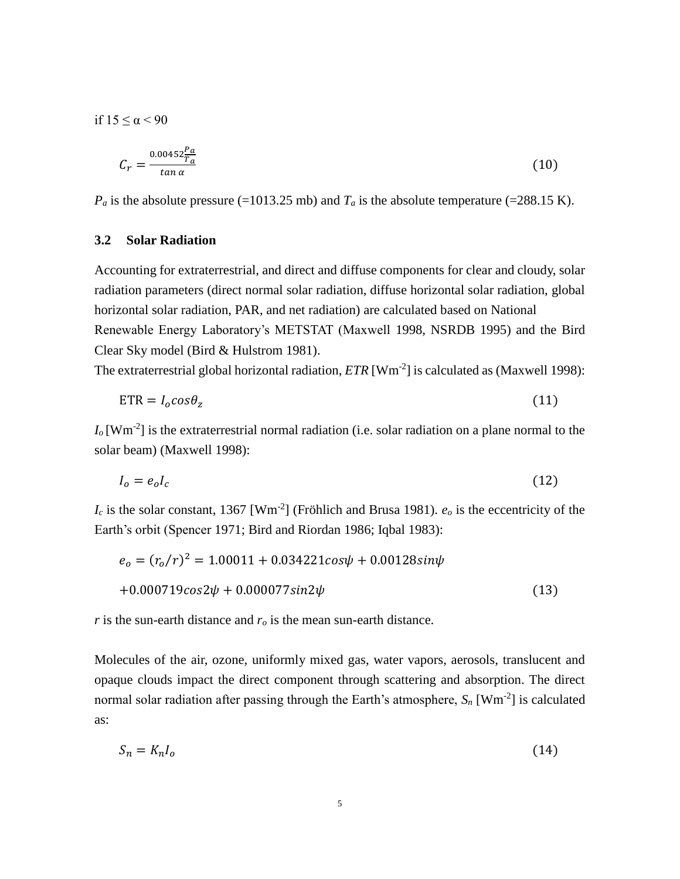if  $15 < α < 90$ 

$$
C_r = \frac{0.00452 \frac{P_a}{T_a}}{\tan \alpha} \tag{10}
$$

 $P_a$  is the absolute pressure (=1013.25 mb) and  $T_a$  is the absolute temperature (=288.15 K).

# **3.2 Solar Radiation**

Accounting for extraterrestrial, and direct and diffuse components for clear and cloudy, solar radiation parameters (direct normal solar radiation, diffuse horizontal solar radiation, global horizontal solar radiation, PAR, and net radiation) are calculated based on National Renewable Energy Laboratory's METSTAT (Maxwell 1998, NSRDB 1995) and the Bird Clear Sky model (Bird & Hulstrom 1981).

The extraterrestrial global horizontal radiation,  $ETR$  [ $Wm<sup>-2</sup>$ ] is calculated as (Maxwell 1998):

$$
ETR = I_0 \cos \theta_z \tag{11}
$$

 $I_0$  [Wm<sup>-2</sup>] is the extraterrestrial normal radiation (i.e. solar radiation on a plane normal to the solar beam) (Maxwell 1998):

$$
I_o = e_o I_c \tag{12}
$$

 $I_c$  is the solar constant, 1367 [Wm<sup>-2</sup>] (Fröhlich and Brusa 1981).  $e_o$  is the eccentricity of the Earth's orbit (Spencer 1971; Bird and Riordan 1986; Iqbal 1983):

$$
e_o = (r_o/r)^2 = 1.00011 + 0.034221 \cos\psi + 0.00128 \sin\psi
$$
  
+0.000719 \cos 2\psi + 0.000077 \sin 2\psi (13)

*r* is the sun-earth distance and *r<sup>o</sup>* is the mean sun-earth distance.

Molecules of the air, ozone, uniformly mixed gas, water vapors, aerosols, translucent and opaque clouds impact the direct component through scattering and absorption. The direct normal solar radiation after passing through the Earth's atmosphere,  $S_n$  [Wm<sup>-2</sup>] is calculated as:

$$
S_n = K_n I_o \tag{14}
$$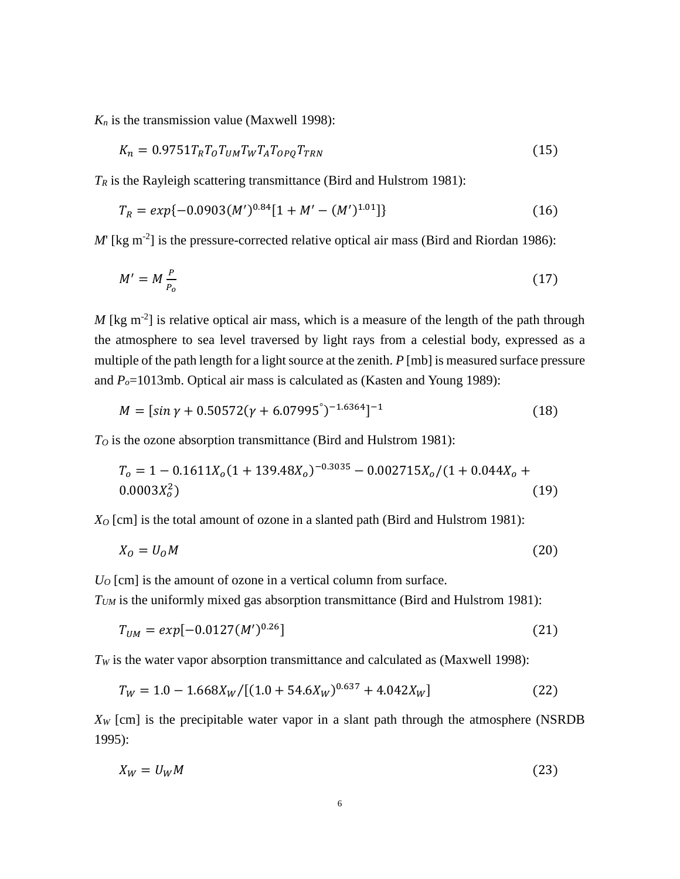$K_n$  is the transmission value (Maxwell 1998):

$$
K_n = 0.9751T_RT_0T_{UM}T_WT_AT_{OPQ}T_{TRN}
$$
\n(15)

 $T_R$  is the Rayleigh scattering transmittance (Bird and Hulstrom 1981):

$$
T_R = exp{-0.0903(M')^{0.84}[1 + M' - (M')^{1.01}]}
$$
\n(16)

 $M$ <sup>'</sup> [kg m<sup>-2</sup>] is the pressure-corrected relative optical air mass (Bird and Riordan 1986):

$$
M' = M \frac{P}{P_o} \tag{17}
$$

 $M$  [kg m<sup>-2</sup>] is relative optical air mass, which is a measure of the length of the path through the atmosphere to sea level traversed by light rays from a celestial body, expressed as a multiple of the path length for a light source at the zenith. *P* [mb] is measured surface pressure and  $P_o$ =1013mb. Optical air mass is calculated as (Kasten and Young 1989):

$$
M = \left[ \sin \gamma + 0.50572(\gamma + 6.07995^{\circ})^{-1.6364} \right]^{-1}
$$
\n(18)

*T<sup>O</sup>* is the ozone absorption transmittance (Bird and Hulstrom 1981):

$$
T_o = 1 - 0.1611X_o(1 + 139.48X_o)^{-0.3035} - 0.002715X_o/(1 + 0.044X_o + 0.0003X_o^2)
$$
\n
$$
(19)
$$

*X<sup>O</sup>* [cm] is the total amount of ozone in a slanted path (Bird and Hulstrom 1981):

$$
X_0 = U_0 M \tag{20}
$$

*U<sup>O</sup>* [cm] is the amount of ozone in a vertical column from surface.

*TUM* is the uniformly mixed gas absorption transmittance (Bird and Hulstrom 1981):

$$
T_{UM} = exp[-0.0127(M')^{0.26}]
$$
\n(21)

*T<sup>W</sup>* is the water vapor absorption transmittance and calculated as (Maxwell 1998):

$$
T_W = 1.0 - 1.668X_W / [(1.0 + 54.6X_W)^{0.637} + 4.042X_W]
$$
\n(22)

*X<sup>W</sup>* [cm] is the precipitable water vapor in a slant path through the atmosphere (NSRDB 1995):

$$
X_W = U_W M \tag{23}
$$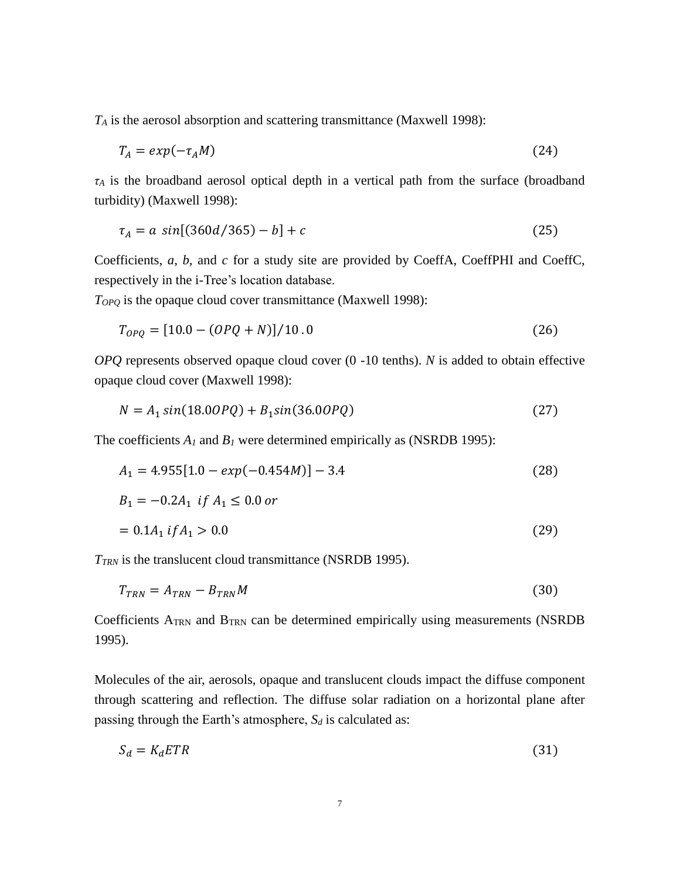*T<sup>A</sup>* is the aerosol absorption and scattering transmittance (Maxwell 1998):

$$
T_A = exp(-\tau_A M) \tag{24}
$$

*τ<sup>A</sup>* is the broadband aerosol optical depth in a vertical path from the surface (broadband turbidity) (Maxwell 1998):

$$
\tau_A = a \, \sin[(360d/365) - b] + c \tag{25}
$$

Coefficients, *a*, *b*, and *c* for a study site are provided by CoeffA, CoeffPHI and CoeffC, respectively in the i-Tree's location database.

*TOPQ* is the opaque cloud cover transmittance (Maxwell 1998):

$$
T_{OPQ} = [10.0 - (OPQ + N)]/10.0
$$
\n(26)

*OPQ* represents observed opaque cloud cover (0 -10 tenths). *N* is added to obtain effective opaque cloud cover (Maxwell 1998):

$$
N = A_1 \sin(18.00PQ) + B_1 \sin(36.00PQ)
$$
\n(27)

The coefficients  $A_I$  and  $B_I$  were determined empirically as (NSRDB 1995):

$$
A_1 = 4.955[1.0 - exp(-0.454M)] - 3.4
$$
\n(28)

$$
B_1 = -0.2A_1 \text{ if } A_1 \le 0.0 \text{ or}
$$
  
= 0.1A\_1 if A\_1 > 0.0 (29)

*TTRN* is the translucent cloud transmittance (NSRDB 1995).

$$
T_{TRN} = A_{TRN} - B_{TRN}M
$$
\n(30)

Coefficients ATRN and BTRN can be determined empirically using measurements (NSRDB 1995).

Molecules of the air, aerosols, opaque and translucent clouds impact the diffuse component through scattering and reflection. The diffuse solar radiation on a horizontal plane after passing through the Earth's atmosphere, *S<sup>d</sup>* is calculated as:

$$
S_d = K_d ETR \tag{31}
$$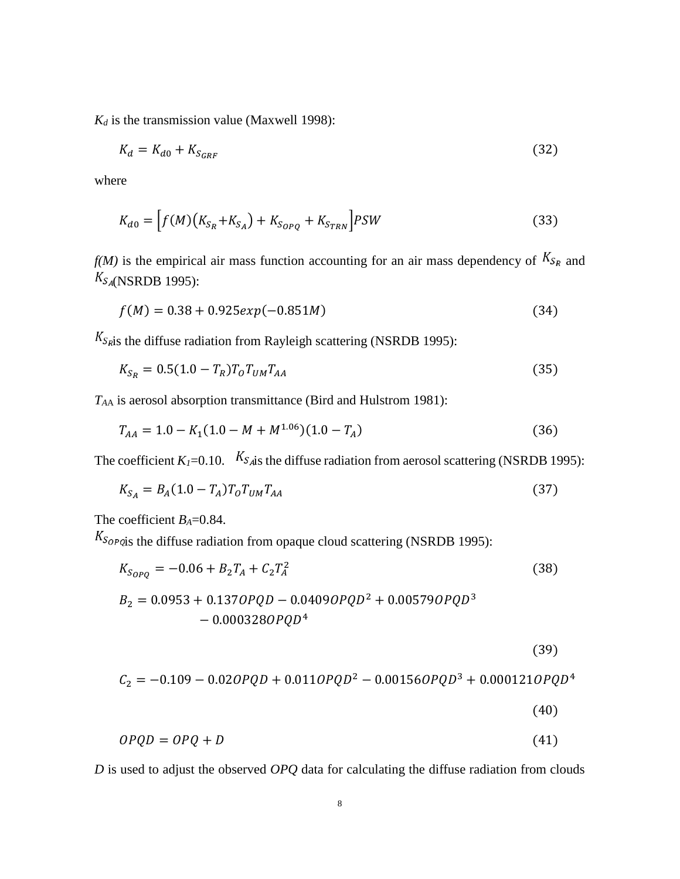$K_d$  is the transmission value (Maxwell 1998):

$$
K_d = K_{d0} + K_{S_{GRF}} \tag{32}
$$

where

$$
K_{d0} = \left[ f(M) \left( K_{S_R} + K_{S_A} \right) + K_{S_{OPQ}} + K_{S_{TRN}} \right] PSW \tag{33}
$$

 $f(M)$  is the empirical air mass function accounting for an air mass dependency of  $K_{S_R}$  and  $K_{S_A(NSRDB 1995)}$ :

$$
f(M) = 0.38 + 0.925 \exp(-0.851M) \tag{34}
$$

 $K_{S_{R}S}$  the diffuse radiation from Rayleigh scattering (NSRDB 1995):

$$
K_{S_R} = 0.5(1.0 - T_R)T_0 T_{UM} T_{AA}
$$
\n(35)

*TA*<sup>A</sup> is aerosol absorption transmittance (Bird and Hulstrom 1981):

$$
T_{AA} = 1.0 - K_1 (1.0 - M + M^{1.06}) (1.0 - T_A)
$$
\n(36)

The coefficient  $K_I$ =0.10.  $K_{S_A}$  the diffuse radiation from aerosol scattering (NSRDB 1995):

$$
K_{S_A} = B_A (1.0 - T_A) T_O T_{UM} T_{AA}
$$
\n(37)

The coefficient *B<sub>A</sub>*=0.84.

 $K_{Sop}$  equalistive radiation from opaque cloud scattering (NSRDB 1995):

$$
K_{S_{OPQ}} = -0.06 + B_2 T_A + C_2 T_A^2 \tag{38}
$$

$$
B_2 = 0.0953 + 0.1370PQD - 0.04090PQD^2 + 0.005790PQD^3 - 0.0003280PQD^4
$$

$$
(39)
$$

$$
C_2 = -0.109 - 0.020PQD + 0.0110PQD^2 - 0.001560PQD^3 + 0.0001210PQD^4
$$

$$
(40)
$$

$$
OPQD = OPQ + D \tag{41}
$$

*D* is used to adjust the observed *OPQ* data for calculating the diffuse radiation from clouds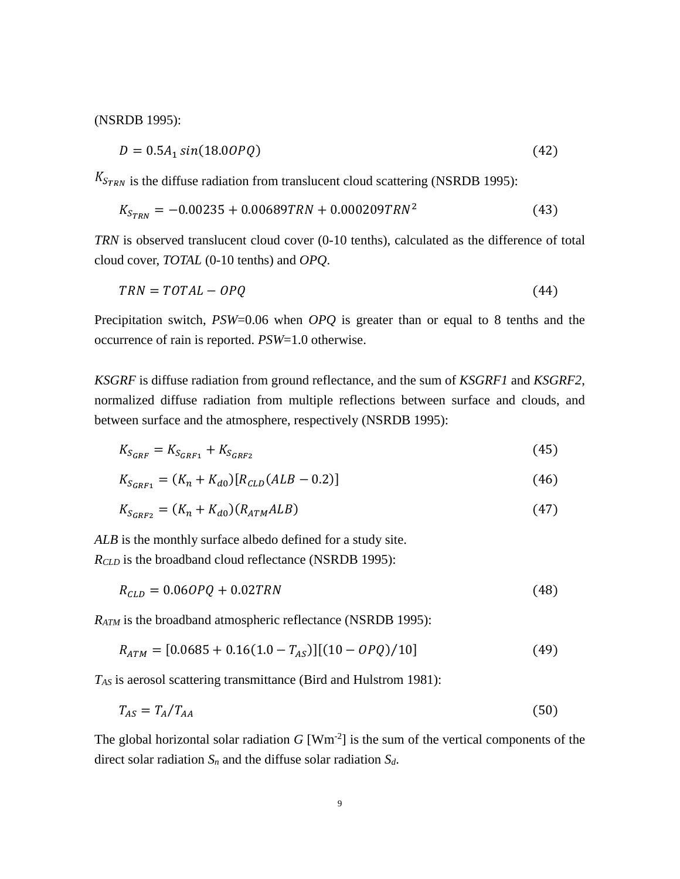(NSRDB 1995):

$$
D = 0.5A_1 \sin(18.00PQ) \tag{42}
$$

 $K_{STRN}$  is the diffuse radiation from translucent cloud scattering (NSRDB 1995):

$$
K_{S_{TRN}} = -0.00235 + 0.00689TRN + 0.000209TRN^2 \tag{43}
$$

*TRN* is observed translucent cloud cover (0-10 tenths), calculated as the difference of total cloud cover, *TOTAL* (0-10 tenths) and *OPQ*.

$$
TRN = TOTAL - OPQ \tag{44}
$$

Precipitation switch, *PSW*=0.06 when *OPQ* is greater than or equal to 8 tenths and the occurrence of rain is reported. *PSW*=1.0 otherwise.

*KSGRF* is diffuse radiation from ground reflectance, and the sum of *KSGRF1* and *KSGRF2*, normalized diffuse radiation from multiple reflections between surface and clouds, and between surface and the atmosphere, respectively (NSRDB 1995):

$$
K_{S_{GRF}} = K_{S_{GRF1}} + K_{S_{GRF2}} \tag{45}
$$

$$
K_{S_{GRF1}} = (K_n + K_{d0}) [R_{CLD}(ALB - 0.2)] \tag{46}
$$

$$
K_{S_{GRF2}} = (K_n + K_{d0})(R_{ATM}ALB)
$$
\n(47)

*ALB* is the monthly surface albedo defined for a study site.

*RCLD* is the broadband cloud reflectance (NSRDB 1995):

$$
R_{CLD} = 0.060PQ + 0.02TRN
$$
\n(48)

*RATM* is the broadband atmospheric reflectance (NSRDB 1995):

$$
R_{ATM} = [0.0685 + 0.16(1.0 - T_{AS})][(10 - OPQ)/10]
$$
\n(49)

*TAS* is aerosol scattering transmittance (Bird and Hulstrom 1981):

$$
T_{AS} = T_A / T_{AA} \tag{50}
$$

The global horizontal solar radiation  $G$  [Wm<sup>-2</sup>] is the sum of the vertical components of the direct solar radiation *S<sup>n</sup>* and the diffuse solar radiation *Sd*.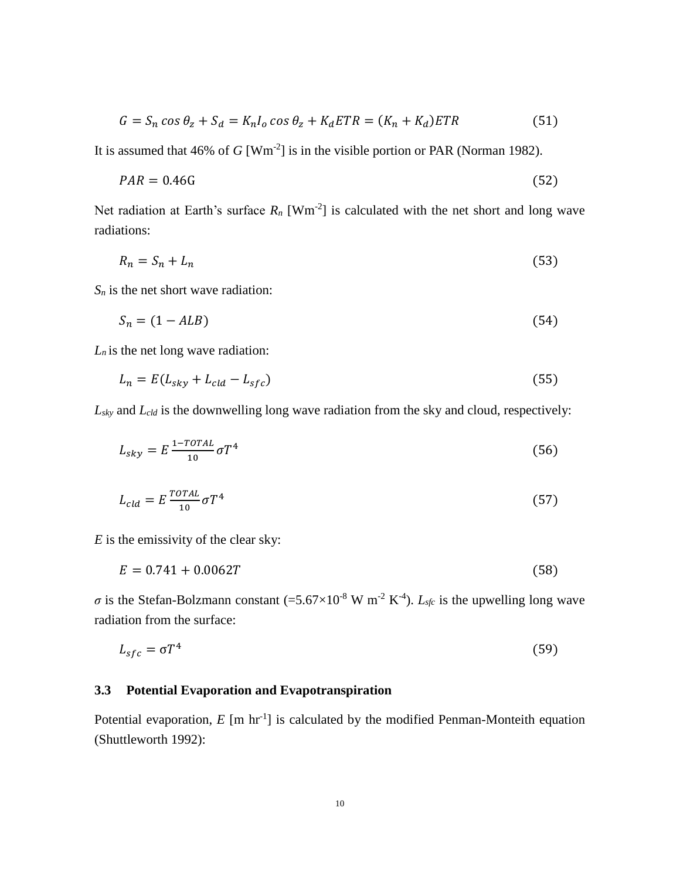$$
G = S_n \cos \theta_z + S_d = K_n I_o \cos \theta_z + K_d ETR = (K_n + K_d) ETR
$$
\n(51)

It is assumed that  $46\%$  of *G* [Wm<sup>-2</sup>] is in the visible portion or PAR (Norman 1982).

$$
PAR = 0.46G \tag{52}
$$

Net radiation at Earth's surface  $R_n$  [Wm<sup>-2</sup>] is calculated with the net short and long wave radiations:

$$
R_n = S_n + L_n \tag{53}
$$

 $S_n$  is the net short wave radiation:

$$
S_n = (1 - ALB) \tag{54}
$$

 $L_n$  is the net long wave radiation:

$$
L_n = E(L_{sky} + L_{cld} - L_{sfc})
$$
\n<sup>(55)</sup>

*Lsky* and *Lcld* is the downwelling long wave radiation from the sky and cloud, respectively:

$$
L_{sky} = E \frac{1 - TOTAL}{10} \sigma T^4 \tag{56}
$$

$$
L_{cld} = E \frac{total}{10} \sigma T^4 \tag{57}
$$

*E* is the emissivity of the clear sky:

$$
E = 0.741 + 0.0062T \tag{58}
$$

 $\sigma$  is the Stefan-Bolzmann constant (=5.67×10<sup>-8</sup> W m<sup>-2</sup> K<sup>-4</sup>). *L*<sub>sfc</sub> is the upwelling long wave radiation from the surface:

$$
L_{sfc} = \sigma T^4 \tag{59}
$$

### **3.3 Potential Evaporation and Evapotranspiration**

Potential evaporation,  $E$  [m hr<sup>-1</sup>] is calculated by the modified Penman-Monteith equation (Shuttleworth 1992):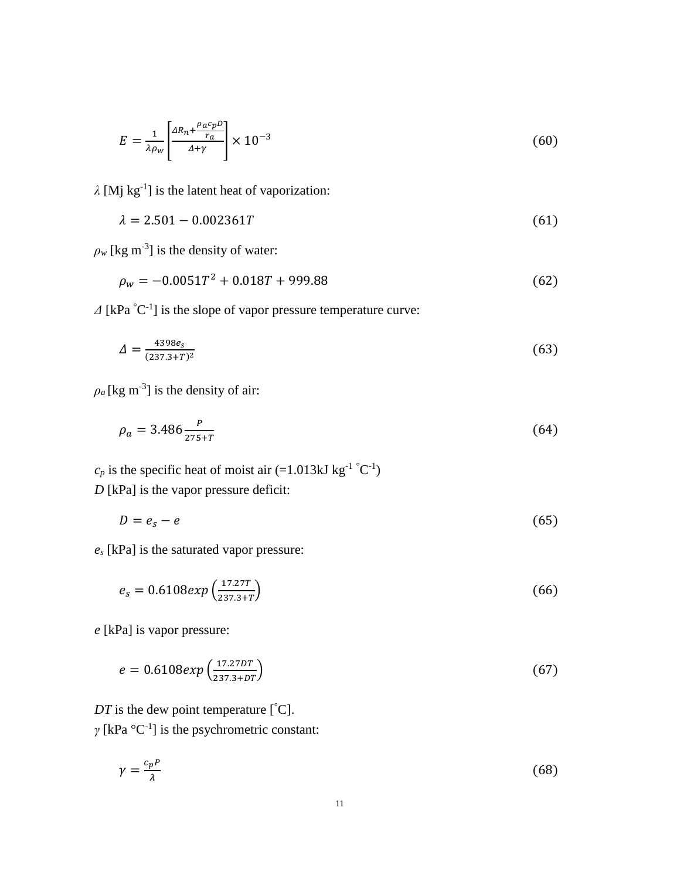$$
E = \frac{1}{\lambda \rho_w} \left[ \frac{\Delta R_n + \frac{\rho_a c_p D}{r_a}}{\Delta + \gamma} \right] \times 10^{-3} \tag{60}
$$

*λ* [Mj kg-1 ] is the latent heat of vaporization:

$$
\lambda = 2.501 - 0.002361T \tag{61}
$$

 $\rho_w$  [kg m<sup>-3</sup>] is the density of water:

$$
\rho_w = -0.0051T^2 + 0.018T + 999.88\tag{62}
$$

 $\Delta$  [kPa  $^{\circ}$ C<sup>-1</sup>] is the slope of vapor pressure temperature curve:

$$
\Delta = \frac{4398e_s}{(237.3 + T)^2} \tag{63}
$$

 $\rho_a$  [kg m<sup>-3</sup>] is the density of air:

$$
\rho_a = 3.486 \frac{P}{275 + T} \tag{64}
$$

 $c_p$  is the specific heat of moist air (=1.013kJ kg<sup>-1</sup> °C<sup>-1</sup>) *D* [kPa] is the vapor pressure deficit:

$$
D = e_s - e \tag{65}
$$

*e<sup>s</sup>* [kPa] is the saturated vapor pressure:

$$
e_s = 0.6108 \exp\left(\frac{17.27T}{237.3+T}\right) \tag{66}
$$

*e* [kPa] is vapor pressure:

$$
e = 0.6108 \exp\left(\frac{17.27DT}{237.3+DT}\right) \tag{67}
$$

*DT* is the dew point temperature  $[°C]$ .

 $\gamma$  [kPa  $^{\circ}$ C<sup>-1</sup>] is the psychrometric constant:

$$
\gamma = \frac{c_p P}{\lambda} \tag{68}
$$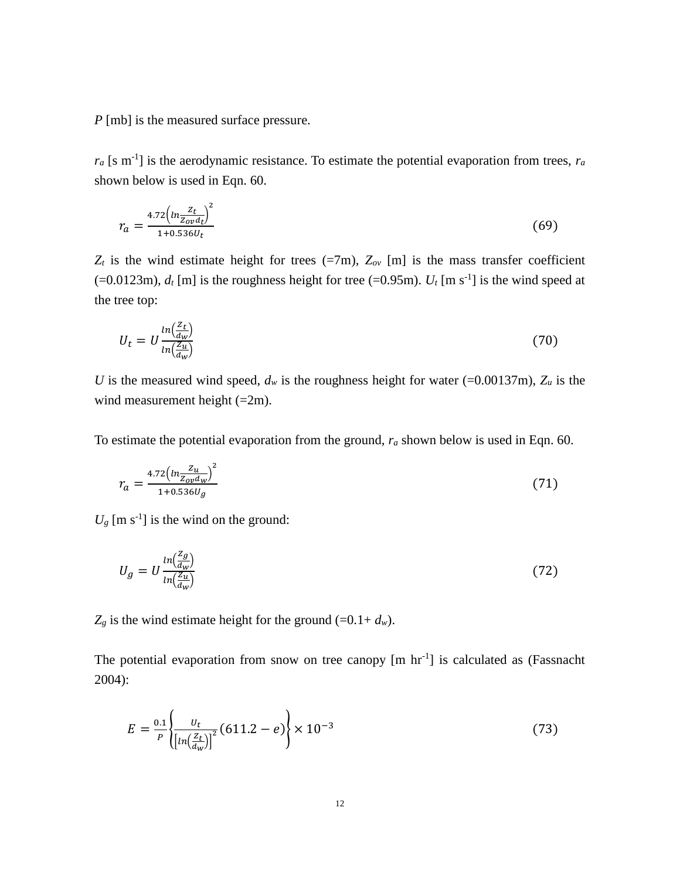*P* [mb] is the measured surface pressure.

 $r_a$  [s m<sup>-1</sup>] is the aerodynamic resistance. To estimate the potential evaporation from trees,  $r_a$ shown below is used in Eqn. 60.

$$
r_a = \frac{4.72 \left( \ln \frac{Z_t}{Z_{ov} d_t} \right)^2}{1 + 0.536 U_t} \tag{69}
$$

 $Z_t$  is the wind estimate height for trees (=7m),  $Z_{ov}$  [m] is the mass transfer coefficient  $(=0.0123m)$ ,  $d_t$  [m] is the roughness height for tree  $(=0.95m)$ .  $U_t$  [m s<sup>-1</sup>] is the wind speed at the tree top:

$$
U_t = U \frac{\ln(\frac{Z_t}{d_W})}{\ln(\frac{Z_u}{d_W})}
$$
(70)

*U* is the measured wind speed,  $d_w$  is the roughness height for water (=0.00137m),  $Z_u$  is the wind measurement height (=2m).

To estimate the potential evaporation from the ground, *r<sup>a</sup>* shown below is used in Eqn. 60.

$$
r_a = \frac{4.72 \left( \ln \frac{Z_u}{Z_{ov} d_W} \right)^2}{1 + 0.536 U_g} \tag{71}
$$

 $U_g$  [m s<sup>-1</sup>] is the wind on the ground:

$$
U_g = U \frac{\ln(\frac{Z_g}{d_W})}{\ln(\frac{Z_u}{d_W})}
$$
(72)

 $Z_g$  is the wind estimate height for the ground (=0.1+  $d_w$ ).

The potential evaporation from snow on tree canopy  $[m hr^{-1}]$  is calculated as (Fassnacht 2004):

$$
E = \frac{0.1}{P} \left\{ \frac{U_t}{\left[ ln(\frac{Z_t}{d_W}) \right]^2} (611.2 - e) \right\} \times 10^{-3}
$$
 (73)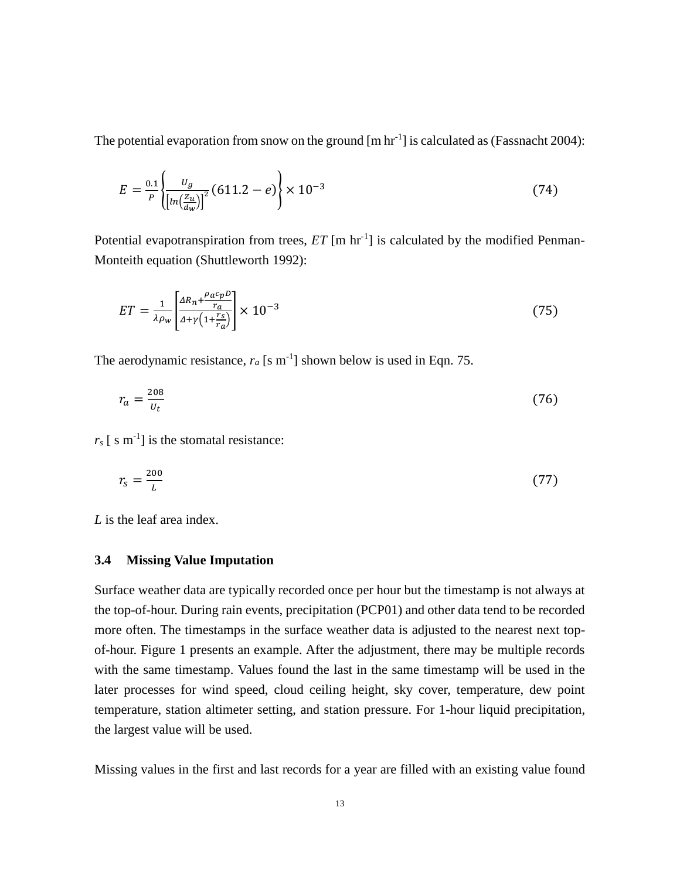The potential evaporation from snow on the ground  $[m hr^{-1}]$  is calculated as (Fassnacht 2004):

$$
E = \frac{0.1}{P} \left\{ \frac{U_g}{\left[ ln(\frac{Z_u}{dw}) \right]^2} (611.2 - e) \right\} \times 10^{-3}
$$
 (74)

Potential evapotranspiration from trees,  $ET$  [m  $\text{hr}^{-1}$ ] is calculated by the modified Penman-Monteith equation (Shuttleworth 1992):

$$
ET = \frac{1}{\lambda \rho_w} \left[ \frac{AR_n + \frac{\rho_a c_p D}{r_a}}{A + \gamma \left(1 + \frac{r_s}{r_a}\right)} \right] \times 10^{-3} \tag{75}
$$

The aerodynamic resistance,  $r_a$  [s m<sup>-1</sup>] shown below is used in Eqn. 75.

$$
r_a = \frac{208}{v_t} \tag{76}
$$

 $r_s$  [ s m<sup>-1</sup>] is the stomatal resistance:

$$
r_s = \frac{200}{L} \tag{77}
$$

*L* is the leaf area index.

### **3.4 Missing Value Imputation**

Surface weather data are typically recorded once per hour but the timestamp is not always at the top-of-hour. During rain events, precipitation (PCP01) and other data tend to be recorded more often. The timestamps in the surface weather data is adjusted to the nearest next topof-hour. Figure 1 presents an example. After the adjustment, there may be multiple records with the same timestamp. Values found the last in the same timestamp will be used in the later processes for wind speed, cloud ceiling height, sky cover, temperature, dew point temperature, station altimeter setting, and station pressure. For 1-hour liquid precipitation, the largest value will be used.

Missing values in the first and last records for a year are filled with an existing value found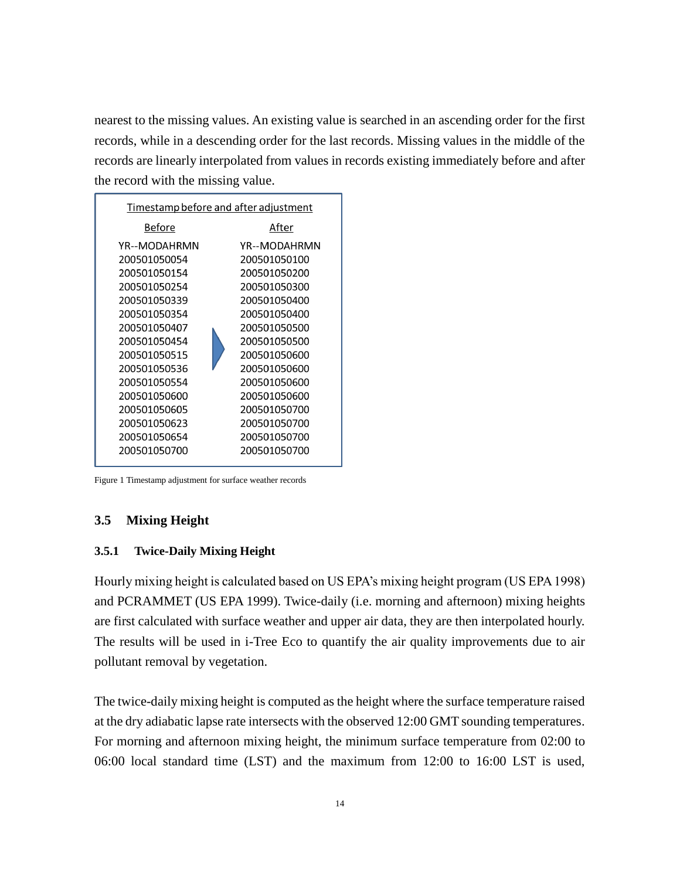nearest to the missing values. An existing value is searched in an ascending order for the first records, while in a descending order for the last records. Missing values in the middle of the records are linearly interpolated from values in records existing immediately before and after the record with the missing value.



Figure 1 Timestamp adjustment for surface weather records

### **3.5 Mixing Height**

### **3.5.1 Twice-Daily Mixing Height**

Hourly mixing height is calculated based on US EPA's mixing height program (US EPA 1998) and PCRAMMET (US EPA 1999). Twice-daily (i.e. morning and afternoon) mixing heights are first calculated with surface weather and upper air data, they are then interpolated hourly. The results will be used in i-Tree Eco to quantify the air quality improvements due to air pollutant removal by vegetation.

The twice-daily mixing height is computed as the height where the surface temperature raised at the dry adiabatic lapse rate intersects with the observed 12:00 GMT sounding temperatures. For morning and afternoon mixing height, the minimum surface temperature from 02:00 to 06:00 local standard time (LST) and the maximum from 12:00 to 16:00 LST is used,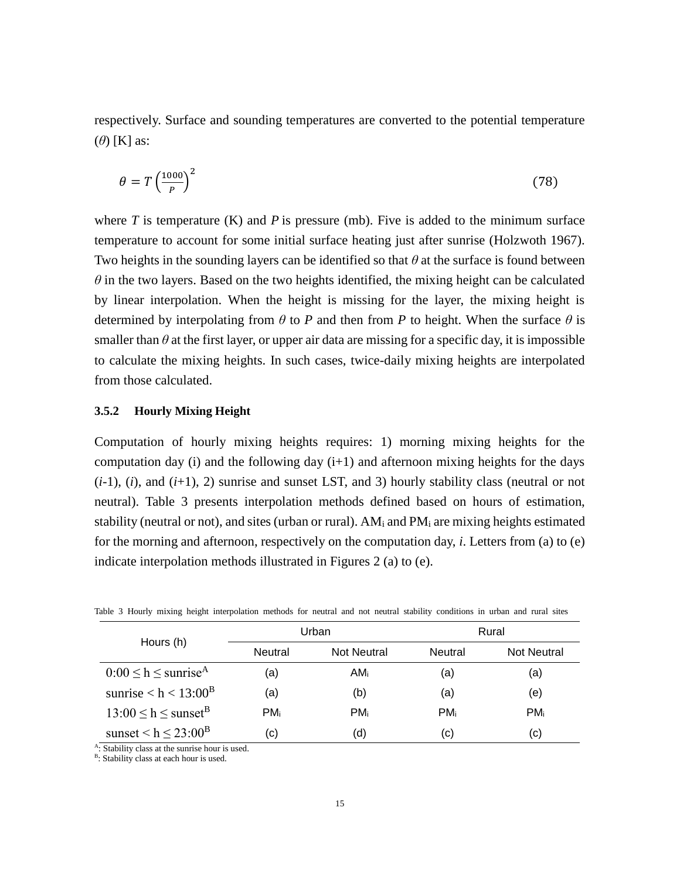respectively. Surface and sounding temperatures are converted to the potential temperature (*θ*) [K] as:

$$
\theta = T \left(\frac{1000}{P}\right)^2 \tag{78}
$$

where  $T$  is temperature  $(K)$  and  $P$  is pressure  $(mb)$ . Five is added to the minimum surface temperature to account for some initial surface heating just after sunrise (Holzwoth 1967). Two heights in the sounding layers can be identified so that *θ* at the surface is found between  $\theta$  in the two layers. Based on the two heights identified, the mixing height can be calculated by linear interpolation. When the height is missing for the layer, the mixing height is determined by interpolating from  $\theta$  to *P* and then from *P* to height. When the surface  $\theta$  is smaller than  $\theta$  at the first layer, or upper air data are missing for a specific day, it is impossible to calculate the mixing heights. In such cases, twice-daily mixing heights are interpolated from those calculated.

### **3.5.2 Hourly Mixing Height**

Computation of hourly mixing heights requires: 1) morning mixing heights for the computation day (i) and the following day  $(i+1)$  and afternoon mixing heights for the days  $(i-1)$ ,  $(i)$ , and  $(i+1)$ , 2) sunrise and sunset LST, and 3) hourly stability class (neutral or not neutral). Table 3 presents interpolation methods defined based on hours of estimation, stability (neutral or not), and sites (urban or rural).  $AM_i$  and  $PM_i$  are mixing heights estimated for the morning and afternoon, respectively on the computation day, *i*. Letters from (a) to (e) indicate interpolation methods illustrated in Figures 2 (a) to (e).

|                                       | Urban          |                    | Rural          |                    |
|---------------------------------------|----------------|--------------------|----------------|--------------------|
| Hours (h)                             | <b>Neutral</b> | <b>Not Neutral</b> | <b>Neutral</b> | <b>Not Neutral</b> |
| $0:00 \le h \le$ sunrise <sup>A</sup> | (a)            | AMi                | (a)            | (a)                |
| sunrise $\rm < h < 13:00^B$           | (a)            | (b)                | (a)            | (e)                |
| $13:00 \le h \le \text{sunset}^B$     | <b>PM</b> i    | PM <sub>i</sub>    | <b>PM</b> i    | PM <sub>i</sub>    |
| sunset $\leq h \leq 23:00^B$          | (c)            | (d)                | (c)            | (c)                |

Table 3 Hourly mixing height interpolation methods for neutral and not neutral stability conditions in urban and rural sites

: Stability class at the sunrise hour is used.

<sup>B</sup>: Stability class at each hour is used.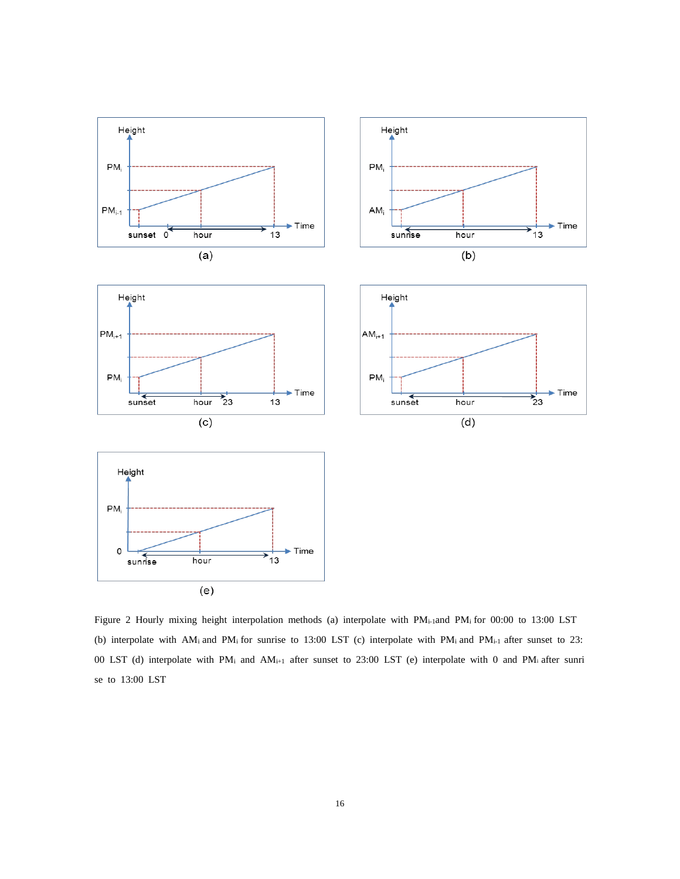

Figure 2 Hourly mixing height interpolation methods (a) interpolate with PMi-1and PM<sup>i</sup> for 00:00 to 13:00 LST (b) interpolate with AM<sub>i</sub> and PM<sub>i</sub> for sunrise to 13:00 LST (c) interpolate with PM<sub>i</sub> and PM<sub>i-1</sub> after sunset to 23: 00 LST (d) interpolate with PM<sup>i</sup> and AMi+1 after sunset to 23:00 LST (e) interpolate with 0 and PMi after sunri se to 13:00 LST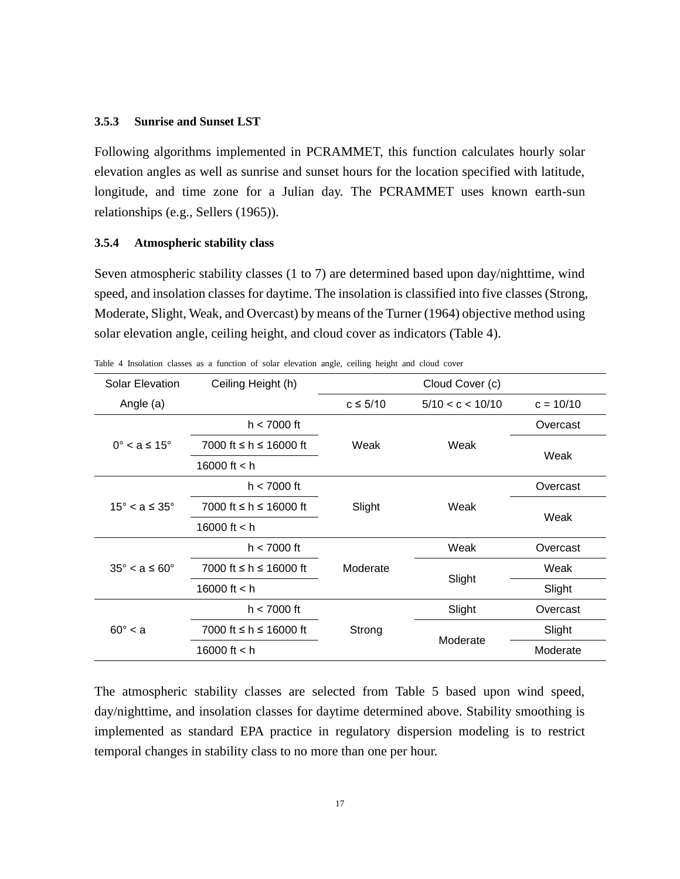#### **3.5.3 Sunrise and Sunset LST**

Following algorithms implemented in PCRAMMET, this function calculates hourly solar elevation angles as well as sunrise and sunset hours for the location specified with latitude, longitude, and time zone for a Julian day. The PCRAMMET uses known earth-sun relationships (e.g., Sellers (1965)).

#### **3.5.4 Atmospheric stability class**

Seven atmospheric stability classes (1 to 7) are determined based upon day/nighttime, wind speed, and insolation classes for daytime. The insolation is classified into five classes (Strong, Moderate, Slight, Weak, and Overcast) by means of the Turner (1964) objective method using solar elevation angle, ceiling height, and cloud cover as indicators (Table 4).

| <b>Solar Elevation</b>       | Ceiling Height (h)     | Cloud Cover (c)              |                  |             |
|------------------------------|------------------------|------------------------------|------------------|-------------|
| Angle (a)                    |                        | $c \leq 5/10$                | 5/10 < c < 10/10 | $c = 10/10$ |
| $0^\circ < a \leq 15^\circ$  | $h < 7000$ ft          | Weak<br>Weak                 | Overcast         |             |
|                              | 7000 ft ≤ h ≤ 16000 ft |                              |                  | Weak        |
|                              | 16000 ft $<$ h         |                              |                  |             |
| $15^\circ < a \leq 35^\circ$ | $h < 7000$ ft          | Weak<br>Slight               |                  | Overcast    |
|                              | 7000 ft ≤ h ≤ 16000 ft |                              |                  | Weak        |
|                              | 16000 ft $<$ h         |                              |                  |             |
| $35^\circ < a \leq 60^\circ$ | $h < 7000$ ft          | Moderate                     | Weak             | Overcast    |
|                              | 7000 ft ≤ h ≤ 16000 ft |                              |                  | Weak        |
|                              | 16000 ft $<$ h         | Slight                       |                  | Slight      |
| $60^\circ < a$               | $h < 7000$ ft          | Slight<br>Strong<br>Moderate |                  | Overcast    |
|                              | 7000 ft ≤ h ≤ 16000 ft |                              |                  | Slight      |
|                              | 16000 ft $<$ h         |                              | Moderate         |             |

Table 4 Insolation classes as a function of solar elevation angle, ceiling height and cloud cover

The atmospheric stability classes are selected from Table 5 based upon wind speed, day/nighttime, and insolation classes for daytime determined above. Stability smoothing is implemented as standard EPA practice in regulatory dispersion modeling is to restrict temporal changes in stability class to no more than one per hour.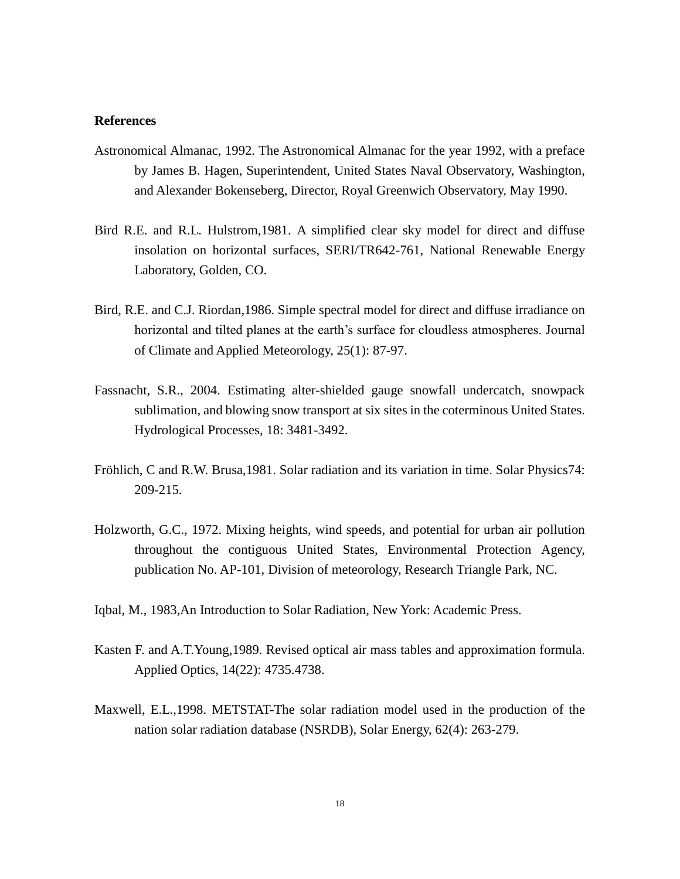#### **References**

- Astronomical Almanac, 1992. The Astronomical Almanac for the year 1992, with a preface by James B. Hagen, Superintendent, United States Naval Observatory, Washington, and Alexander Bokenseberg, Director, Royal Greenwich Observatory, May 1990.
- Bird R.E. and R.L. Hulstrom,1981. A simplified clear sky model for direct and diffuse insolation on horizontal surfaces, SERI/TR642-761, National Renewable Energy Laboratory, Golden, CO.
- Bird, R.E. and C.J. Riordan,1986. Simple spectral model for direct and diffuse irradiance on horizontal and tilted planes at the earth's surface for cloudless atmospheres. Journal of Climate and Applied Meteorology, 25(1): 87-97.
- Fassnacht, S.R., 2004. Estimating alter-shielded gauge snowfall undercatch, snowpack sublimation, and blowing snow transport at six sites in the coterminous United States. Hydrological Processes, 18: 3481-3492.
- Fröhlich, C and R.W. Brusa,1981. Solar radiation and its variation in time. Solar Physics74: 209-215.
- Holzworth, G.C., 1972. Mixing heights, wind speeds, and potential for urban air pollution throughout the contiguous United States, Environmental Protection Agency, publication No. AP-101, Division of meteorology, Research Triangle Park, NC.
- Iqbal, M., 1983,An Introduction to Solar Radiation, New York: Academic Press.
- Kasten F. and A.T.Young,1989. Revised optical air mass tables and approximation formula. Applied Optics, 14(22): 4735.4738.
- Maxwell, E.L.,1998. METSTAT-The solar radiation model used in the production of the nation solar radiation database (NSRDB), Solar Energy, 62(4): 263-279.